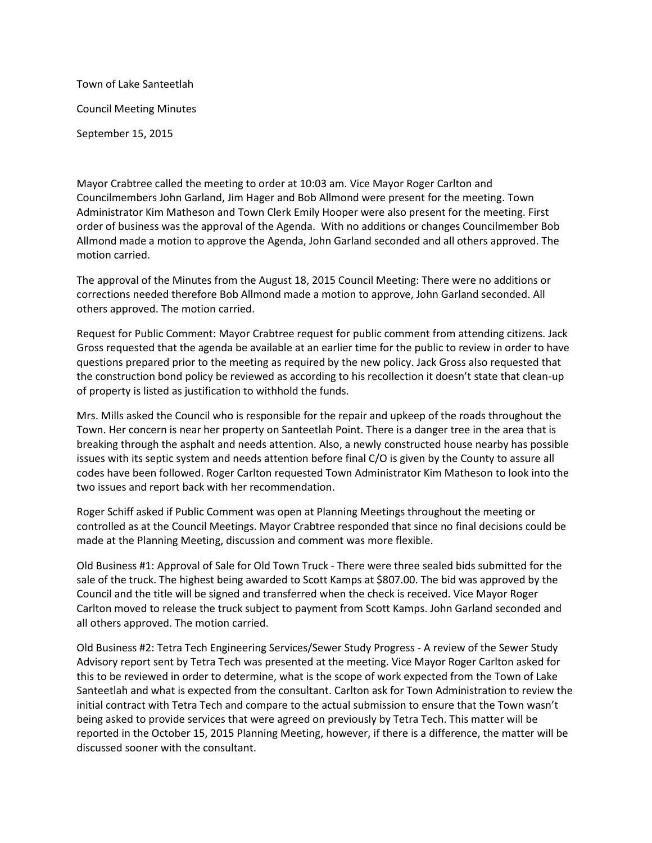Town of Lake Santeetlah Council Meeting Minutes September 15, 2015

Mayor Crabtree called the meeting to order at 10:03 am. Vice Mayor Roger Carlton and Councilmembers John Garland, Jim Hager and Bob Allmond were present for the meeting. Town Administrator Kim Matheson and Town Clerk Emily Hooper were also present for the meeting. First order of business was the approval of the Agenda. With no additions or changes Councilmember Bob Allmond made a motion to approve the Agenda, John Garland seconded and all others approved. The motion carried.

The approval of the Minutes from the August 18, 2015 Council Meeting: There were no additions or corrections needed therefore Bob Allmond made a motion to approve, John Garland seconded. All others approved. The motion carried.

Request for Public Comment: Mayor Crabtree request for public comment from attending citizens. Jack Gross requested that the agenda be available at an earlier time for the public to review in order to have questions prepared prior to the meeting as required by the new policy. Jack Gross also requested that the construction bond policy be reviewed as according to his recollection it doesn't state that clean-up of property is listed as justification to withhold the funds.

Mrs. Mills asked the Council who is responsible for the repair and upkeep of the roads throughout the Town. Her concern is near her property on Santeetlah Point. There is a danger tree in the area that is breaking through the asphalt and needs attention. Also, a newly constructed house nearby has possible issues with its septic system and needs attention before final C/O is given by the County to assure all codes have been followed. Roger Carlton requested Town Administrator Kim Matheson to look into the two issues and report back with her recommendation.

Roger Schiff asked if Public Comment was open at Planning Meetings throughout the meeting or controlled as at the Council Meetings. Mayor Crabtree responded that since no final decisions could be made at the Planning Meeting, discussion and comment was more flexible.

Old Business #1: Approval of Sale for Old Town Truck - There were three sealed bids submitted for the sale of the truck. The highest being awarded to Scott Kamps at \$807.00. The bid was approved by the Council and the title will be signed and transferred when the check is received. Vice Mayor Roger Carlton moved to release the truck subject to payment from Scott Kamps. John Garland seconded and all others approved. The motion carried.

Old Business #2: Tetra Tech Engineering Services/Sewer Study Progress - A review of the Sewer Study Advisory report sent by Tetra Tech was presented at the meeting. Vice Mayor Roger Carlton asked for this to be reviewed in order to determine, what is the scope of work expected from the Town of Lake Santeetlah and what is expected from the consultant. Carlton ask for Town Administration to review the initial contract with Tetra Tech and compare to the actual submission to ensure that the Town wasn't being asked to provide services that were agreed on previously by Tetra Tech. This matter will be reported in the October 15, 2015 Planning Meeting, however, if there is a difference, the matter will be discussed sooner with the consultant.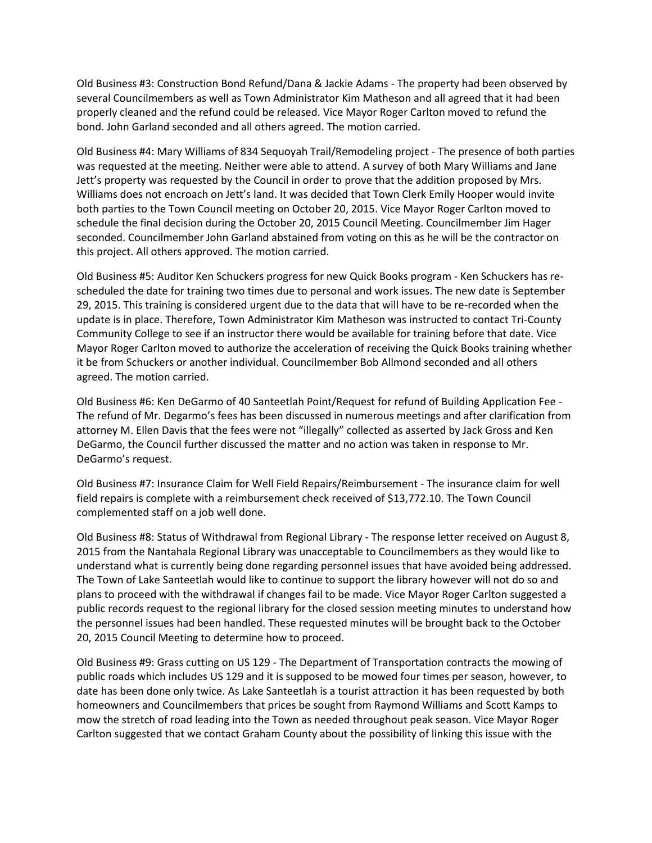Old Business #3: Construction Bond Refund/Dana & Jackie Adams - The property had been observed by several Councilmembers as well as Town Administrator Kim Matheson and all agreed that it had been properly cleaned and the refund could be released. Vice Mayor Roger Carlton moved to refund the bond. John Garland seconded and all others agreed. The motion carried.

Old Business #4: Mary Williams of 834 Sequoyah Trail/Remodeling project - The presence of both parties was requested at the meeting. Neither were able to attend. A survey of both Mary Williams and Jane Jett's property was requested by the Council in order to prove that the addition proposed by Mrs. Williams does not encroach on Jett's land. It was decided that Town Clerk Emily Hooper would invite both parties to the Town Council meeting on October 20, 2015. Vice Mayor Roger Carlton moved to schedule the final decision during the October 20, 2015 Council Meeting. Councilmember Jim Hager seconded. Councilmember John Garland abstained from voting on this as he will be the contractor on this project. All others approved. The motion carried.

Old Business #5: Auditor Ken Schuckers progress for new Quick Books program - Ken Schuckers has rescheduled the date for training two times due to personal and work issues. The new date is September 29, 2015. This training is considered urgent due to the data that will have to be re-recorded when the update is in place. Therefore, Town Administrator Kim Matheson was instructed to contact Tri-County Community College to see if an instructor there would be available for training before that date. Vice Mayor Roger Carlton moved to authorize the acceleration of receiving the Quick Books training whether it be from Schuckers or another individual. Councilmember Bob Allmond seconded and all others agreed. The motion carried.

Old Business #6: Ken DeGarmo of 40 Santeetlah Point/Request for refund of Building Application Fee - The refund of Mr. Degarmo's fees has been discussed in numerous meetings and after clarification from attorney M. Ellen Davis that the fees were not "illegally" collected as asserted by Jack Gross and Ken DeGarmo, the Council further discussed the matter and no action was taken in response to Mr. DeGarmo's request.

Old Business #7: Insurance Claim for Well Field Repairs/Reimbursement - The insurance claim for well field repairs is complete with a reimbursement check received of \$13,772.10. The Town Council complemented staff on a job well done.

Old Business #8: Status of Withdrawal from Regional Library - The response letter received on August 8, 2015 from the Nantahala Regional Library was unacceptable to Councilmembers as they would like to understand what is currently being done regarding personnel issues that have avoided being addressed. The Town of Lake Santeetlah would like to continue to support the library however will not do so and plans to proceed with the withdrawal if changes fail to be made. Vice Mayor Roger Carlton suggested a public records request to the regional library for the closed session meeting minutes to understand how the personnel issues had been handled. These requested minutes will be brought back to the October 20, 2015 Council Meeting to determine how to proceed.

Old Business #9: Grass cutting on US 129 - The Department of Transportation contracts the mowing of public roads which includes US 129 and it is supposed to be mowed four times per season, however, to date has been done only twice. As Lake Santeetlah is a tourist attraction it has been requested by both homeowners and Councilmembers that prices be sought from Raymond Williams and Scott Kamps to mow the stretch of road leading into the Town as needed throughout peak season. Vice Mayor Roger Carlton suggested that we contact Graham County about the possibility of linking this issue with the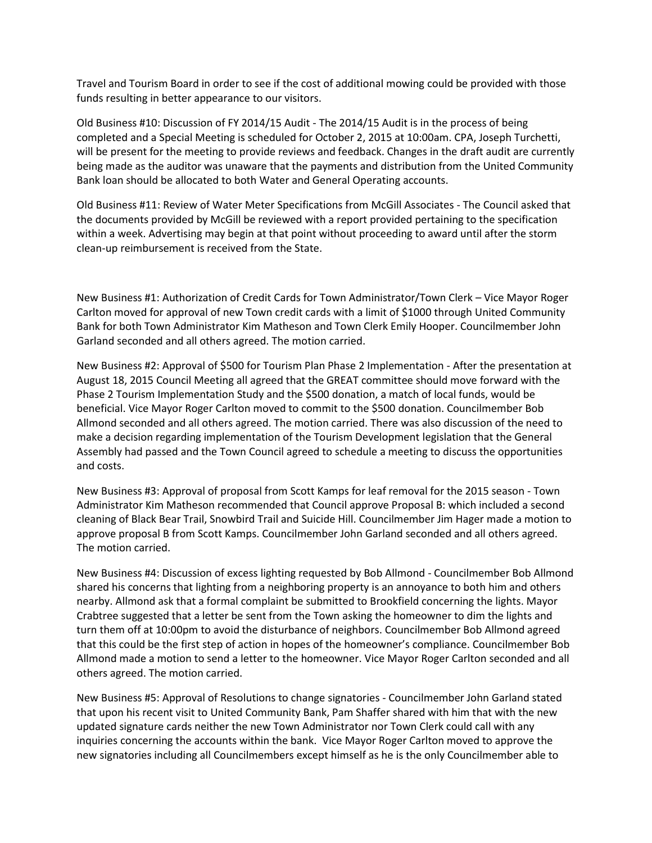Travel and Tourism Board in order to see if the cost of additional mowing could be provided with those funds resulting in better appearance to our visitors.

Old Business #10: Discussion of FY 2014/15 Audit - The 2014/15 Audit is in the process of being completed and a Special Meeting is scheduled for October 2, 2015 at 10:00am. CPA, Joseph Turchetti, will be present for the meeting to provide reviews and feedback. Changes in the draft audit are currently being made as the auditor was unaware that the payments and distribution from the United Community Bank loan should be allocated to both Water and General Operating accounts.

Old Business #11: Review of Water Meter Specifications from McGill Associates - The Council asked that the documents provided by McGill be reviewed with a report provided pertaining to the specification within a week. Advertising may begin at that point without proceeding to award until after the storm clean-up reimbursement is received from the State.

New Business #1: Authorization of Credit Cards for Town Administrator/Town Clerk – Vice Mayor Roger Carlton moved for approval of new Town credit cards with a limit of \$1000 through United Community Bank for both Town Administrator Kim Matheson and Town Clerk Emily Hooper. Councilmember John Garland seconded and all others agreed. The motion carried.

New Business #2: Approval of \$500 for Tourism Plan Phase 2 Implementation - After the presentation at August 18, 2015 Council Meeting all agreed that the GREAT committee should move forward with the Phase 2 Tourism Implementation Study and the \$500 donation, a match of local funds, would be beneficial. Vice Mayor Roger Carlton moved to commit to the \$500 donation. Councilmember Bob Allmond seconded and all others agreed. The motion carried. There was also discussion of the need to make a decision regarding implementation of the Tourism Development legislation that the General Assembly had passed and the Town Council agreed to schedule a meeting to discuss the opportunities and costs.

New Business #3: Approval of proposal from Scott Kamps for leaf removal for the 2015 season - Town Administrator Kim Matheson recommended that Council approve Proposal B: which included a second cleaning of Black Bear Trail, Snowbird Trail and Suicide Hill. Councilmember Jim Hager made a motion to approve proposal B from Scott Kamps. Councilmember John Garland seconded and all others agreed. The motion carried.

New Business #4: Discussion of excess lighting requested by Bob Allmond - Councilmember Bob Allmond shared his concerns that lighting from a neighboring property is an annoyance to both him and others nearby. Allmond ask that a formal complaint be submitted to Brookfield concerning the lights. Mayor Crabtree suggested that a letter be sent from the Town asking the homeowner to dim the lights and turn them off at 10:00pm to avoid the disturbance of neighbors. Councilmember Bob Allmond agreed that this could be the first step of action in hopes of the homeowner's compliance. Councilmember Bob Allmond made a motion to send a letter to the homeowner. Vice Mayor Roger Carlton seconded and all others agreed. The motion carried.

New Business #5: Approval of Resolutions to change signatories - Councilmember John Garland stated that upon his recent visit to United Community Bank, Pam Shaffer shared with him that with the new updated signature cards neither the new Town Administrator nor Town Clerk could call with any inquiries concerning the accounts within the bank. Vice Mayor Roger Carlton moved to approve the new signatories including all Councilmembers except himself as he is the only Councilmember able to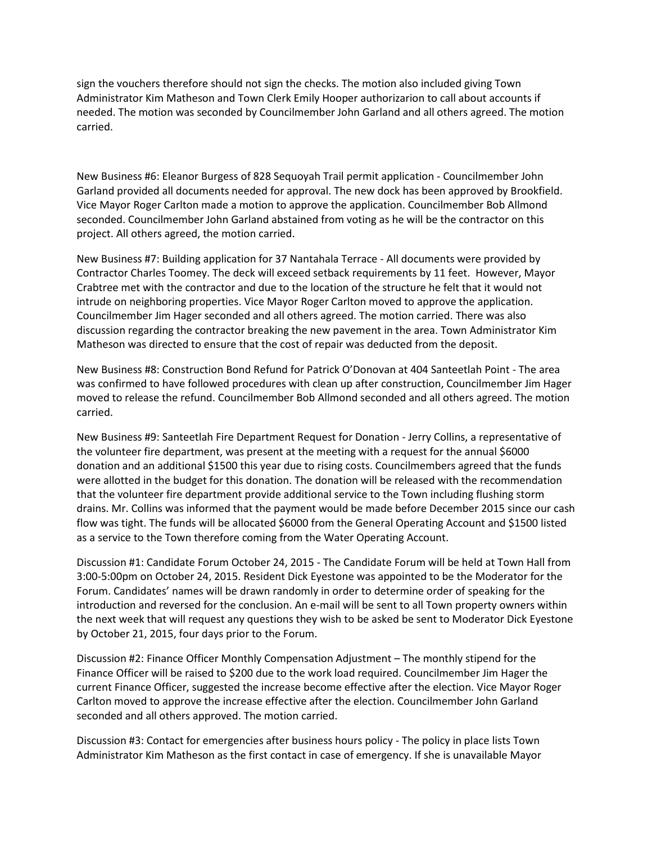sign the vouchers therefore should not sign the checks. The motion also included giving Town Administrator Kim Matheson and Town Clerk Emily Hooper authorizarion to call about accounts if needed. The motion was seconded by Councilmember John Garland and all others agreed. The motion carried.

New Business #6: Eleanor Burgess of 828 Sequoyah Trail permit application - Councilmember John Garland provided all documents needed for approval. The new dock has been approved by Brookfield. Vice Mayor Roger Carlton made a motion to approve the application. Councilmember Bob Allmond seconded. Councilmember John Garland abstained from voting as he will be the contractor on this project. All others agreed, the motion carried.

New Business #7: Building application for 37 Nantahala Terrace - All documents were provided by Contractor Charles Toomey. The deck will exceed setback requirements by 11 feet. However, Mayor Crabtree met with the contractor and due to the location of the structure he felt that it would not intrude on neighboring properties. Vice Mayor Roger Carlton moved to approve the application. Councilmember Jim Hager seconded and all others agreed. The motion carried. There was also discussion regarding the contractor breaking the new pavement in the area. Town Administrator Kim Matheson was directed to ensure that the cost of repair was deducted from the deposit.

New Business #8: Construction Bond Refund for Patrick O'Donovan at 404 Santeetlah Point - The area was confirmed to have followed procedures with clean up after construction, Councilmember Jim Hager moved to release the refund. Councilmember Bob Allmond seconded and all others agreed. The motion carried.

New Business #9: Santeetlah Fire Department Request for Donation - Jerry Collins, a representative of the volunteer fire department, was present at the meeting with a request for the annual \$6000 donation and an additional \$1500 this year due to rising costs. Councilmembers agreed that the funds were allotted in the budget for this donation. The donation will be released with the recommendation that the volunteer fire department provide additional service to the Town including flushing storm drains. Mr. Collins was informed that the payment would be made before December 2015 since our cash flow was tight. The funds will be allocated \$6000 from the General Operating Account and \$1500 listed as a service to the Town therefore coming from the Water Operating Account.

Discussion #1: Candidate Forum October 24, 2015 - The Candidate Forum will be held at Town Hall from 3:00-5:00pm on October 24, 2015. Resident Dick Eyestone was appointed to be the Moderator for the Forum. Candidates' names will be drawn randomly in order to determine order of speaking for the introduction and reversed for the conclusion. An e-mail will be sent to all Town property owners within the next week that will request any questions they wish to be asked be sent to Moderator Dick Eyestone by October 21, 2015, four days prior to the Forum.

Discussion #2: Finance Officer Monthly Compensation Adjustment – The monthly stipend for the Finance Officer will be raised to \$200 due to the work load required. Councilmember Jim Hager the current Finance Officer, suggested the increase become effective after the election. Vice Mayor Roger Carlton moved to approve the increase effective after the election. Councilmember John Garland seconded and all others approved. The motion carried.

Discussion #3: Contact for emergencies after business hours policy - The policy in place lists Town Administrator Kim Matheson as the first contact in case of emergency. If she is unavailable Mayor